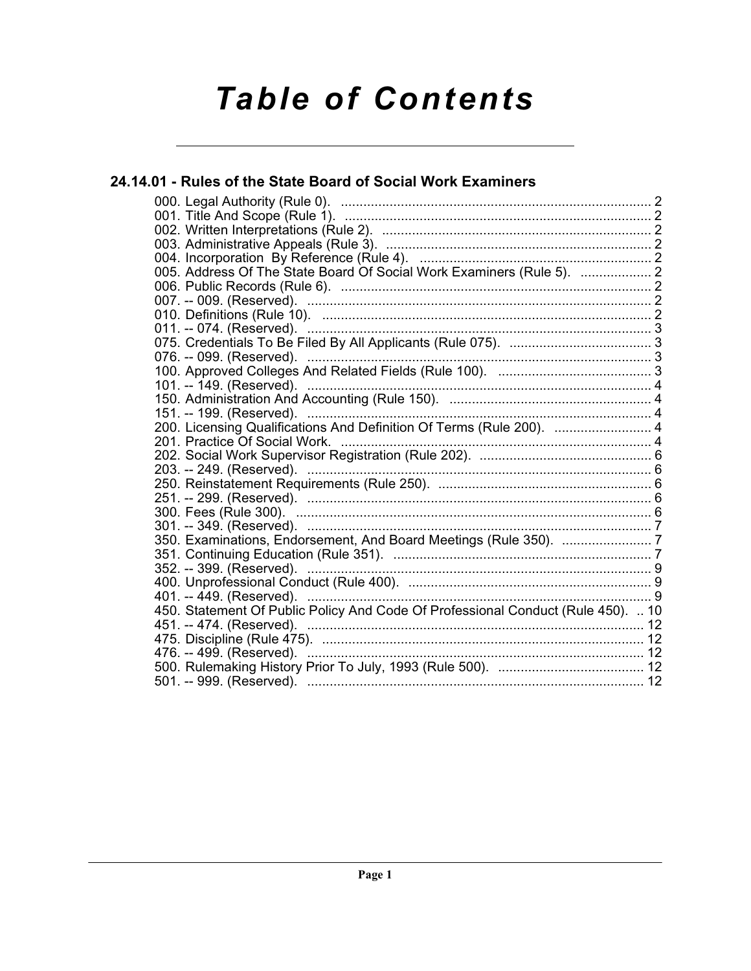# **Table of Contents**

# 24.14.01 - Rules of the State Board of Social Work Examiners 005. Address Of The State Board Of Social Work Examiners (Rule 5). ................... 2 011. -- 074. (Reserved). <u>(mamailando and alternative superiority</u> and alternative superiority of the served). ( 200. Licensing Qualifications And Definition Of Terms (Rule 200). .......................... 4 450. Statement Of Public Policy And Code Of Professional Conduct (Rule 450). .. 10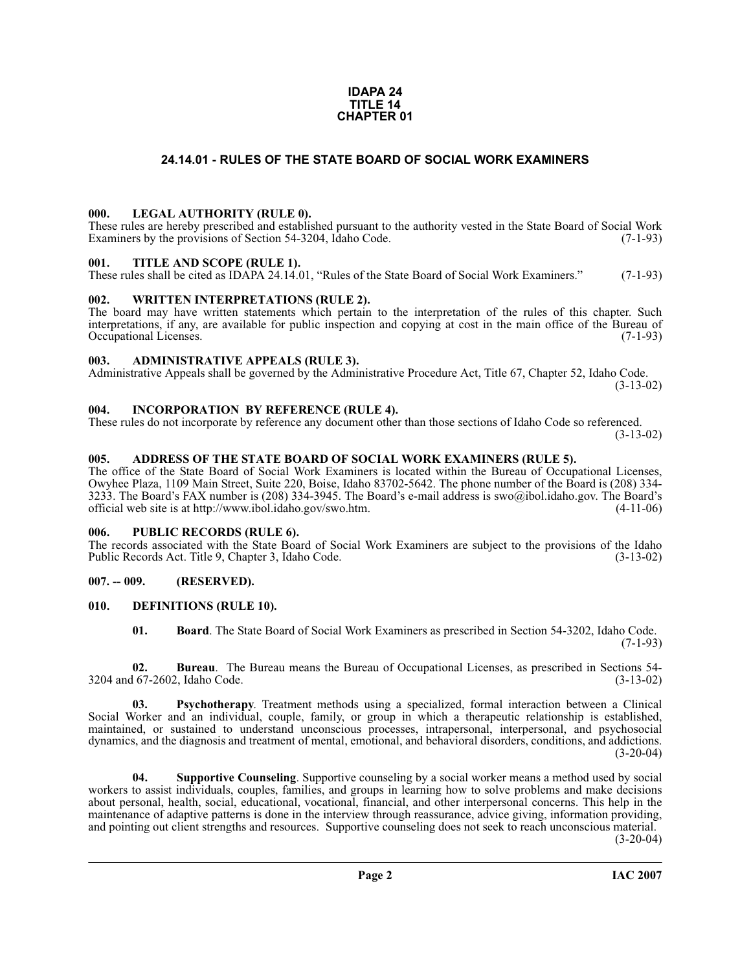#### **IDAPA 24 TITLE 14 CHAPTER 01**

# **24.14.01 - RULES OF THE STATE BOARD OF SOCIAL WORK EXAMINERS**

#### <span id="page-1-1"></span><span id="page-1-0"></span>**000. LEGAL AUTHORITY (RULE 0).**

These rules are hereby prescribed and established pursuant to the authority vested in the State Board of Social Work Examiners by the provisions of Section 54-3204, Idaho Code. (7-1-93)

#### <span id="page-1-2"></span>**001. TITLE AND SCOPE (RULE 1).**

These rules shall be cited as IDAPA 24.14.01, "Rules of the State Board of Social Work Examiners." (7-1-93)

#### <span id="page-1-3"></span>**002. WRITTEN INTERPRETATIONS (RULE 2).**

The board may have written statements which pertain to the interpretation of the rules of this chapter. Such interpretations, if any, are available for public inspection and copying at cost in the main office of the Bureau of Occupational Licenses.

#### <span id="page-1-4"></span>**003. ADMINISTRATIVE APPEALS (RULE 3).**

Administrative Appeals shall be governed by the Administrative Procedure Act, Title 67, Chapter 52, Idaho Code. (3-13-02)

#### <span id="page-1-5"></span>**004. INCORPORATION BY REFERENCE (RULE 4).**

These rules do not incorporate by reference any document other than those sections of Idaho Code so referenced. (3-13-02)

# <span id="page-1-6"></span>**005. ADDRESS OF THE STATE BOARD OF SOCIAL WORK EXAMINERS (RULE 5).**

[The office of the State Board of Social Work Examiners is located within the Bureau of Occupational Licenses,](mailto:swo@ibol.idaho.gov)  Owyhee Plaza, 1109 Main Street, Suite 220, Boise, Idaho 83702-5642. The phone number of the Board is (208) 334- 3233. The Board's FAX number is (208) 334-3945. The Board's e-mail address is swo@ibol.idaho.gov. The Board's [official web site is at](mailto:swo@ibol.idaho.gov) [http://www.ibol.idaho.gov/swo.htm. \(4-11-06\)](http://www.ibol.idaho.gov/swo.htm)

#### <span id="page-1-7"></span>**006. PUBLIC RECORDS (RULE 6).**

The records associated with the State Board of Social Work Examiners are subject to the provisions of the Idaho<br>Public Records Act. Title 9. Chapter 3. Idaho Code. (3-13-02) Public Records Act. Title 9, Chapter 3, Idaho Code.

# <span id="page-1-8"></span>**007. -- 009. (RESERVED).**

#### <span id="page-1-9"></span>**010. DEFINITIONS (RULE 10).**

<span id="page-1-10"></span>**01. Board**. The State Board of Social Work Examiners as prescribed in Section 54-3202, Idaho Code.  $(7-1-93)$ 

**02. Bureau**. The Bureau means the Bureau of Occupational Licenses, as prescribed in Sections 54-<br>167-2602, Idaho Code. (3-13-02) 3204 and 67-2602, Idaho Code.

**03. Psychotherapy**. Treatment methods using a specialized, formal interaction between a Clinical Social Worker and an individual, couple, family, or group in which a therapeutic relationship is established, maintained, or sustained to understand unconscious processes, intrapersonal, interpersonal, and psychosocial dynamics, and the diagnosis and treatment of mental, emotional, and behavioral disorders, conditions, and addictions.  $(3-20-04)$ 

**04. Supportive Counseling**. Supportive counseling by a social worker means a method used by social workers to assist individuals, couples, families, and groups in learning how to solve problems and make decisions about personal, health, social, educational, vocational, financial, and other interpersonal concerns. This help in the maintenance of adaptive patterns is done in the interview through reassurance, advice giving, information providing, and pointing out client strengths and resources. Supportive counseling does not seek to reach unconscious material.

 $(3-20-04)$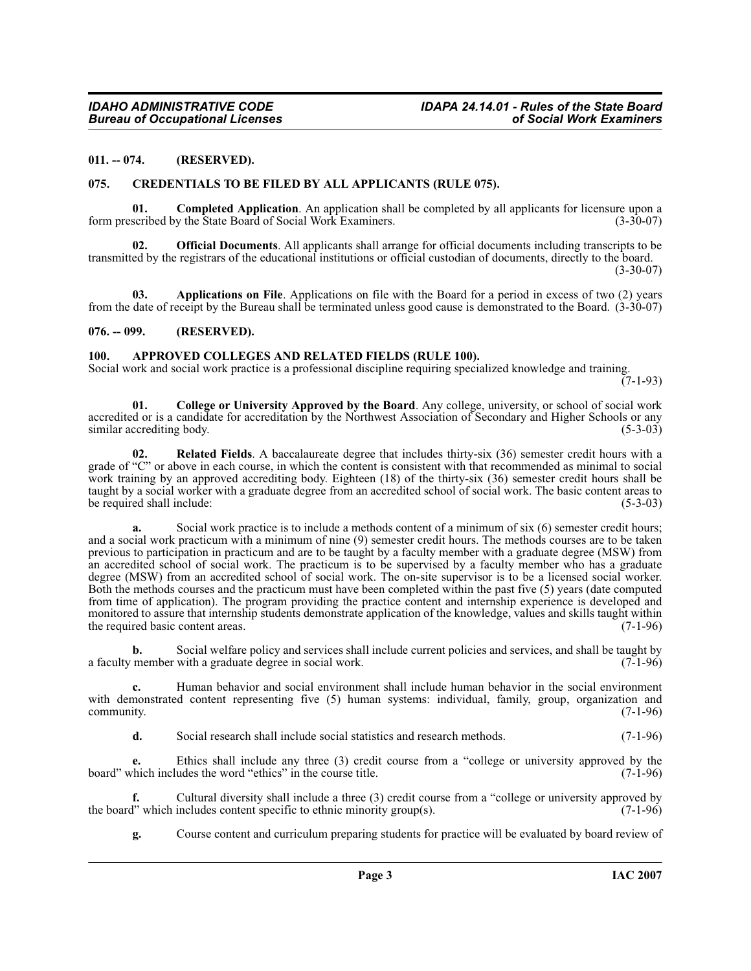#### <span id="page-2-0"></span>**011. -- 074. (RESERVED).**

#### <span id="page-2-7"></span><span id="page-2-1"></span>**075. CREDENTIALS TO BE FILED BY ALL APPLICANTS (RULE 075).**

<span id="page-2-6"></span>**01. Completed Application**. An application shall be completed by all applicants for licensure upon a form prescribed by the State Board of Social Work Examiners.

<span id="page-2-8"></span>**02. Official Documents**. All applicants shall arrange for official documents including transcripts to be transmitted by the registrars of the educational institutions or official custodian of documents, directly to the board. (3-30-07)

**03. Applications on File**. Applications on file with the Board for a period in excess of two (2) years from the date of receipt by the Bureau shall be terminated unless good cause is demonstrated to the Board. (3-30-07)

#### <span id="page-2-2"></span>**076. -- 099. (RESERVED).**

#### <span id="page-2-4"></span><span id="page-2-3"></span>**100. APPROVED COLLEGES AND RELATED FIELDS (RULE 100).**

Social work and social work practice is a professional discipline requiring specialized knowledge and training.  $(7-1-93)$ 

<span id="page-2-5"></span>**01. College or University Approved by the Board**. Any college, university, or school of social work accredited or is a candidate for accreditation by the Northwest Association of Secondary and Higher Schools or any<br>(5-3-03) similar accrediting body.

**02. Related Fields**. A baccalaureate degree that includes thirty-six (36) semester credit hours with a grade of "C" or above in each course, in which the content is consistent with that recommended as minimal to social work training by an approved accrediting body. Eighteen (18) of the thirty-six (36) semester credit hours shall be taught by a social worker with a graduate degree from an accredited school of social work. The basic content areas to<br>(5-3-03) be required shall include:

**a.** Social work practice is to include a methods content of a minimum of six (6) semester credit hours; and a social work practicum with a minimum of nine (9) semester credit hours. The methods courses are to be taken previous to participation in practicum and are to be taught by a faculty member with a graduate degree (MSW) from an accredited school of social work. The practicum is to be supervised by a faculty member who has a graduate degree (MSW) from an accredited school of social work. The on-site supervisor is to be a licensed social worker. Both the methods courses and the practicum must have been completed within the past five (5) years (date computed from time of application). The program providing the practice content and internship experience is developed and monitored to assure that internship students demonstrate application of the knowledge, values and skills taught within<br>the required basic content areas. (7-1-96) the required basic content areas.

**b.** Social welfare policy and services shall include current policies and services, and shall be taught by a faculty member with a graduate degree in social work. (7-1-96)

**c.** Human behavior and social environment shall include human behavior in the social environment with demonstrated content representing five (5) human systems: individual, family, group, organization and community. (7-1-96)  $\epsilon$  community.  $(7-1-96)$ 

**d.** Social research shall include social statistics and research methods. (7-1-96)

**e.** Ethics shall include any three (3) credit course from a "college or university approved by the board" which includes the word "ethics" in the course title. (7-1-96)

**f.** Cultural diversity shall include a three (3) credit course from a "college or university approved by 1" which includes content specific to ethnic minority group(s). the board" which includes content specific to ethnic minority group(s).

**g.** Course content and curriculum preparing students for practice will be evaluated by board review of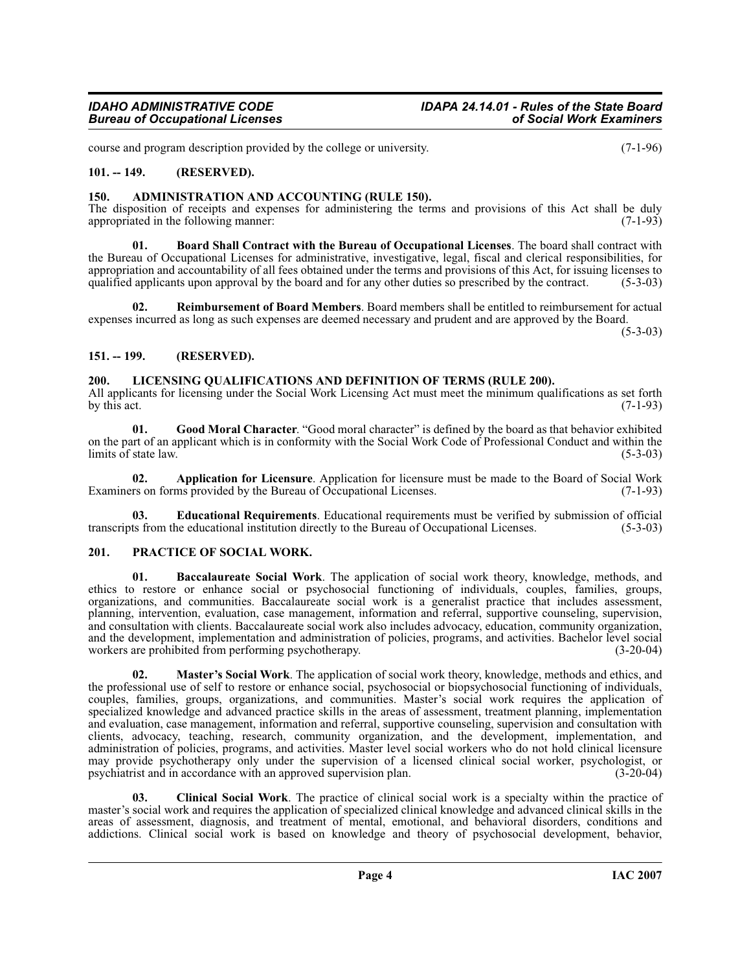course and program description provided by the college or university. (7-1-96)

# <span id="page-3-0"></span>**101. -- 149. (RESERVED).**

# <span id="page-3-5"></span><span id="page-3-1"></span>**150. ADMINISTRATION AND ACCOUNTING (RULE 150).**

The disposition of receipts and expenses for administering the terms and provisions of this Act shall be duly appropriated in the following manner: (7-1-93) appropriated in the following manner:

<span id="page-3-8"></span>**01. Board Shall Contract with the Bureau of Occupational Licenses**. The board shall contract with the Bureau of Occupational Licenses for administrative, investigative, legal, fiscal and clerical responsibilities, for appropriation and accountability of all fees obtained under the terms and provisions of this Act, for issuing licenses to qualified applicants upon approval by the board and for any other duties so prescribed by the contract. (5-3-03)

<span id="page-3-15"></span>**02. Reimbursement of Board Members**. Board members shall be entitled to reimbursement for actual expenses incurred as long as such expenses are deemed necessary and prudent and are approved by the Board.

 $(5-3-03)$ 

# <span id="page-3-2"></span>**151. -- 199. (RESERVED).**

# <span id="page-3-12"></span><span id="page-3-3"></span>**200. LICENSING QUALIFICATIONS AND DEFINITION OF TERMS (RULE 200).**

All applicants for licensing under the Social Work Licensing Act must meet the minimum qualifications as set forth by this act. (7-1-93) by this act.  $(7-1-93)$ 

<span id="page-3-11"></span>**01. Good Moral Character**. "Good moral character" is defined by the board as that behavior exhibited on the part of an applicant which is in conformity with the Social Work Code of Professional Conduct and within the  $limits$  of state  $law$ .

<span id="page-3-6"></span>**02. Application for Licensure**. Application for licensure must be made to the Board of Social Work rs on forms provided by the Bureau of Occupational Licenses. (7-1-93) Examiners on forms provided by the Bureau of Occupational Licenses.

<span id="page-3-10"></span>**Educational Requirements**. Educational requirements must be verified by submission of official ne educational institution directly to the Bureau of Occupational Licenses. (5-3-03) transcripts from the educational institution directly to the Bureau of Occupational Licenses. (5-3-03)

# <span id="page-3-14"></span><span id="page-3-4"></span>**201. PRACTICE OF SOCIAL WORK.**

<span id="page-3-7"></span>**01. Baccalaureate Social Work**. The application of social work theory, knowledge, methods, and ethics to restore or enhance social or psychosocial functioning of individuals, couples, families, groups, organizations, and communities. Baccalaureate social work is a generalist practice that includes assessment, planning, intervention, evaluation, case management, information and referral, supportive counseling, supervision, and consultation with clients. Baccalaureate social work also includes advocacy, education, community organization, and the development, implementation and administration of policies, programs, and activities. Bachelor level social workers are prohibited from performing psychotherapy. (3-20-04)

<span id="page-3-13"></span>**02. Master's Social Work**. The application of social work theory, knowledge, methods and ethics, and the professional use of self to restore or enhance social, psychosocial or biopsychosocial functioning of individuals, couples, families, groups, organizations, and communities. Master's social work requires the application of specialized knowledge and advanced practice skills in the areas of assessment, treatment planning, implementation and evaluation, case management, information and referral, supportive counseling, supervision and consultation with clients, advocacy, teaching, research, community organization, and the development, implementation, and administration of policies, programs, and activities. Master level social workers who do not hold clinical licensure may provide psychotherapy only under the supervision of a licensed clinical social worker, psychologist, or psychiatrist and in accordance with an approved supervision plan. (3-20-04)

<span id="page-3-9"></span>**03. Clinical Social Work**. The practice of clinical social work is a specialty within the practice of master's social work and requires the application of specialized clinical knowledge and advanced clinical skills in the areas of assessment, diagnosis, and treatment of mental, emotional, and behavioral disorders, conditions and addictions. Clinical social work is based on knowledge and theory of psychosocial development, behavior,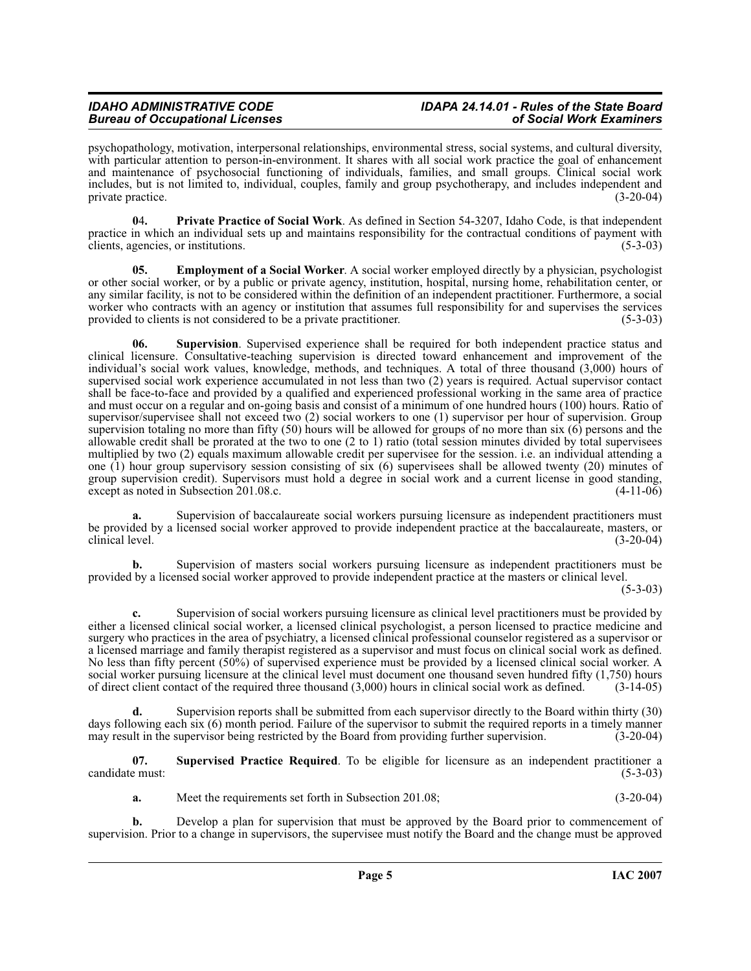psychopathology, motivation, interpersonal relationships, environmental stress, social systems, and cultural diversity, with particular attention to person-in-environment. It shares with all social work practice the goal of enhancement and maintenance of psychosocial functioning of individuals, families, and small groups. Clinical social work includes, but is not limited to, individual, couples, family and group psychotherapy, and includes independent and private practice.

<span id="page-4-1"></span>**0**4**. Private Practice of Social Work**. As defined in Section 54-3207, Idaho Code, is that independent practice in which an individual sets up and maintains responsibility for the contractual conditions of payment with clients, agencies, or institutions. (5-3-03)

<span id="page-4-0"></span>**05. Employment of a Social Worker**. A social worker employed directly by a physician, psychologist or other social worker, or by a public or private agency, institution, hospital, nursing home, rehabilitation center, or any similar facility, is not to be considered within the definition of an independent practitioner. Furthermore, a social worker who contracts with an agency or institution that assumes full responsibility for and supervises the services provided to clients is not considered to be a private practitioner. (5-3-03)

<span id="page-4-2"></span>**06. Supervision**. Supervised experience shall be required for both independent practice status and clinical licensure. Consultative-teaching supervision is directed toward enhancement and improvement of the individual's social work values, knowledge, methods, and techniques. A total of three thousand (3,000) hours of supervised social work experience accumulated in not less than two (2) years is required. Actual supervisor contact shall be face-to-face and provided by a qualified and experienced professional working in the same area of practice and must occur on a regular and on-going basis and consist of a minimum of one hundred hours (100) hours. Ratio of supervisor/supervisee shall not exceed two (2) social workers to one (1) supervisor per hour of supervision. Group supervision totaling no more than fifty (50) hours will be allowed for groups of no more than six (6) persons and the allowable credit shall be prorated at the two to one (2 to 1) ratio (total session minutes divided by total supervisees multiplied by two (2) equals maximum allowable credit per supervisee for the session. i.e. an individual attending a one (1) hour group supervisory session consisting of six (6) supervisees shall be allowed twenty (20) minutes of group supervision credit). Supervisors must hold a degree in social work and a current license in good standing, except as noted in Subsection  $201.08.c.$ 

Supervision of baccalaureate social workers pursuing licensure as independent practitioners must be provided by a licensed social worker approved to provide independent practice at the baccalaureate, masters, or clinical level. (3-20-04)

**b.** Supervision of masters social workers pursuing licensure as independent practitioners must be provided by a licensed social worker approved to provide independent practice at the masters or clinical level.

 $(5-3-03)$ 

**c.** Supervision of social workers pursuing licensure as clinical level practitioners must be provided by either a licensed clinical social worker, a licensed clinical psychologist, a person licensed to practice medicine and surgery who practices in the area of psychiatry, a licensed clinical professional counselor registered as a supervisor or a licensed marriage and family therapist registered as a supervisor and must focus on clinical social work as defined. No less than fifty percent (50%) of supervised experience must be provided by a licensed clinical social worker. A social worker pursuing licensure at the clinical level must document one thousand seven hundred fifty (1,750) hours of direct client contact of the required three thousand (3,000) hours in clinical social work as defined. (3-14-05)

**d.** Supervision reports shall be submitted from each supervisor directly to the Board within thirty (30) days following each six (6) month period. Failure of the supervisor to submit the required reports in a timely manner may result in the supervisor being restricted by the Board from providing further supervision. (3-20-04)

**07. Supervised Practice Required**. To be eligible for licensure as an independent practitioner a candidate must: (5-3-03)

**a.** Meet the requirements set forth in Subsection 201.08; (3-20-04)

**b.** Develop a plan for supervision that must be approved by the Board prior to commencement of supervision. Prior to a change in supervisors, the supervisee must notify the Board and the change must be approved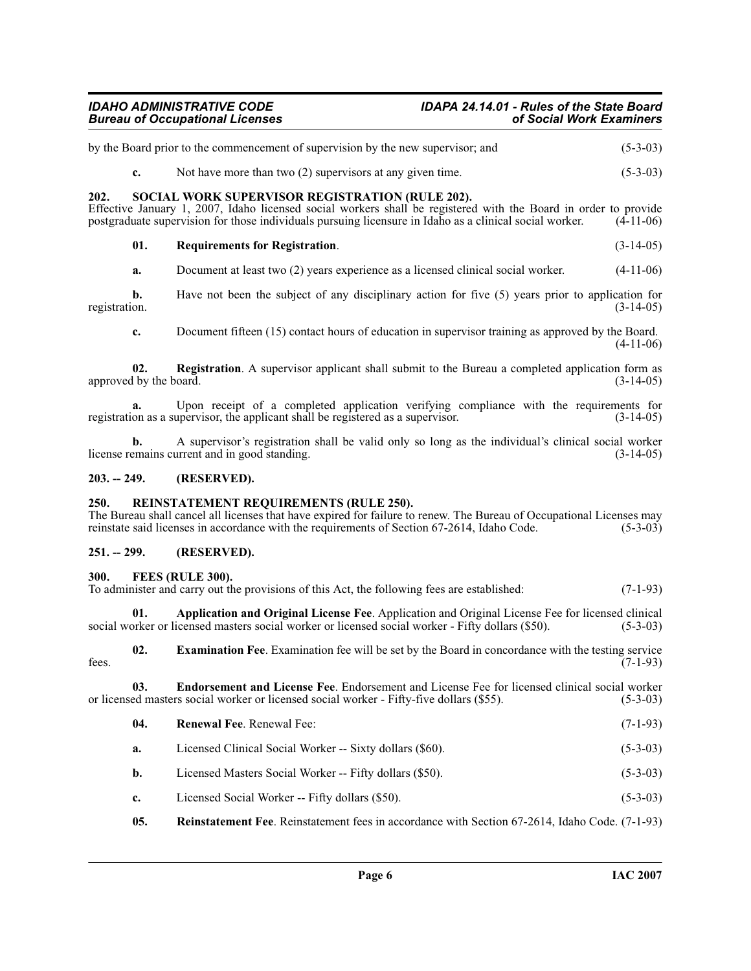# *IDAHO ADMINISTRATIVE CODE IDAPA 24.14.01 - Rules of the State Board Bureau of Occupational Licenses of Social Work Examiners*

<span id="page-5-14"></span><span id="page-5-13"></span><span id="page-5-9"></span><span id="page-5-0"></span>

|                                                                                                                                                                                                                                                                                     | by the Board prior to the commencement of supervision by the new supervisor; and | $(5-3-03)$                                                                                                                                                                                                                                                                    |             |  |
|-------------------------------------------------------------------------------------------------------------------------------------------------------------------------------------------------------------------------------------------------------------------------------------|----------------------------------------------------------------------------------|-------------------------------------------------------------------------------------------------------------------------------------------------------------------------------------------------------------------------------------------------------------------------------|-------------|--|
|                                                                                                                                                                                                                                                                                     | c.                                                                               | Not have more than two $(2)$ supervisors at any given time.                                                                                                                                                                                                                   | $(5-3-03)$  |  |
| 202.                                                                                                                                                                                                                                                                                |                                                                                  | SOCIAL WORK SUPERVISOR REGISTRATION (RULE 202).<br>Effective January 1, 2007, Idaho licensed social workers shall be registered with the Board in order to provide<br>postgraduate supervision for those individuals pursuing licensure in Idaho as a clinical social worker. | $(4-11-06)$ |  |
|                                                                                                                                                                                                                                                                                     | 01.                                                                              | <b>Requirements for Registration.</b>                                                                                                                                                                                                                                         | $(3-14-05)$ |  |
| registration.                                                                                                                                                                                                                                                                       | a.                                                                               | Document at least two (2) years experience as a licensed clinical social worker.                                                                                                                                                                                              | $(4-11-06)$ |  |
|                                                                                                                                                                                                                                                                                     | b.                                                                               | Have not been the subject of any disciplinary action for five (5) years prior to application for                                                                                                                                                                              | $(3-14-05)$ |  |
|                                                                                                                                                                                                                                                                                     | c.                                                                               | Document fifteen (15) contact hours of education in supervisor training as approved by the Board.                                                                                                                                                                             | $(4-11-06)$ |  |
|                                                                                                                                                                                                                                                                                     | 02.<br>approved by the board.                                                    | <b>Registration.</b> A supervisor applicant shall submit to the Bureau a completed application form as                                                                                                                                                                        | $(3-14-05)$ |  |
|                                                                                                                                                                                                                                                                                     | a.                                                                               | Upon receipt of a completed application verifying compliance with the requirements for<br>registration as a supervisor, the applicant shall be registered as a supervisor.                                                                                                    | $(3-14-05)$ |  |
|                                                                                                                                                                                                                                                                                     | h.                                                                               | A supervisor's registration shall be valid only so long as the individual's clinical social worker<br>license remains current and in good standing.                                                                                                                           | $(3-14-05)$ |  |
| $203. - 249.$                                                                                                                                                                                                                                                                       |                                                                                  | (RESERVED).                                                                                                                                                                                                                                                                   |             |  |
| 250.<br>REINSTATEMENT REQUIREMENTS (RULE 250).<br>The Bureau shall cancel all licenses that have expired for failure to renew. The Bureau of Occupational Licenses may<br>reinstate said licenses in accordance with the requirements of Section 67-2614, Idaho Code.<br>$(5-3-03)$ |                                                                                  |                                                                                                                                                                                                                                                                               |             |  |
| $251. - 299.$                                                                                                                                                                                                                                                                       |                                                                                  | (RESERVED).                                                                                                                                                                                                                                                                   |             |  |
| 300.                                                                                                                                                                                                                                                                                |                                                                                  | FEES (RULE 300).<br>To administer and carry out the provisions of this Act, the following fees are established:                                                                                                                                                               | $(7-1-93)$  |  |
|                                                                                                                                                                                                                                                                                     | 01.                                                                              | Application and Original License Fee. Application and Original License Fee for licensed clinical<br>social worker or licensed masters social worker or licensed social worker - Fifty dollars (\$50).                                                                         | $(5-3-03)$  |  |

<span id="page-5-11"></span><span id="page-5-8"></span><span id="page-5-7"></span><span id="page-5-5"></span><span id="page-5-4"></span><span id="page-5-3"></span><span id="page-5-2"></span><span id="page-5-1"></span>**02.** Examination Fee. Examination fee will be set by the Board in concordance with the testing service fees.  $(7-1-93)$ 

**03.** Endorsement and License Fee. Endorsement and License Fee for licensed clinical social worker ed masters social worker or licensed social worker - Fifty-five dollars (\$55). (5-3-03) or licensed masters social worker or licensed social worker - Fifty-five dollars (\$55).

<span id="page-5-12"></span><span id="page-5-10"></span><span id="page-5-6"></span>

| 04.         | <b>Renewal Fee. Renewal Fee:</b>                                                                      | $(7-1-93)$ |
|-------------|-------------------------------------------------------------------------------------------------------|------------|
| a.          | Licensed Clinical Social Worker -- Sixty dollars (\$60).                                              | $(5-3-03)$ |
| b.          | Licensed Masters Social Worker -- Fifty dollars (\$50).                                               | $(5-3-03)$ |
| $c_{\star}$ | Licensed Social Worker -- Fifty dollars (\$50).                                                       | $(5-3-03)$ |
| 05.         | <b>Reinstatement Fee.</b> Reinstatement fees in accordance with Section 67-2614, Idaho Code. (7-1-93) |            |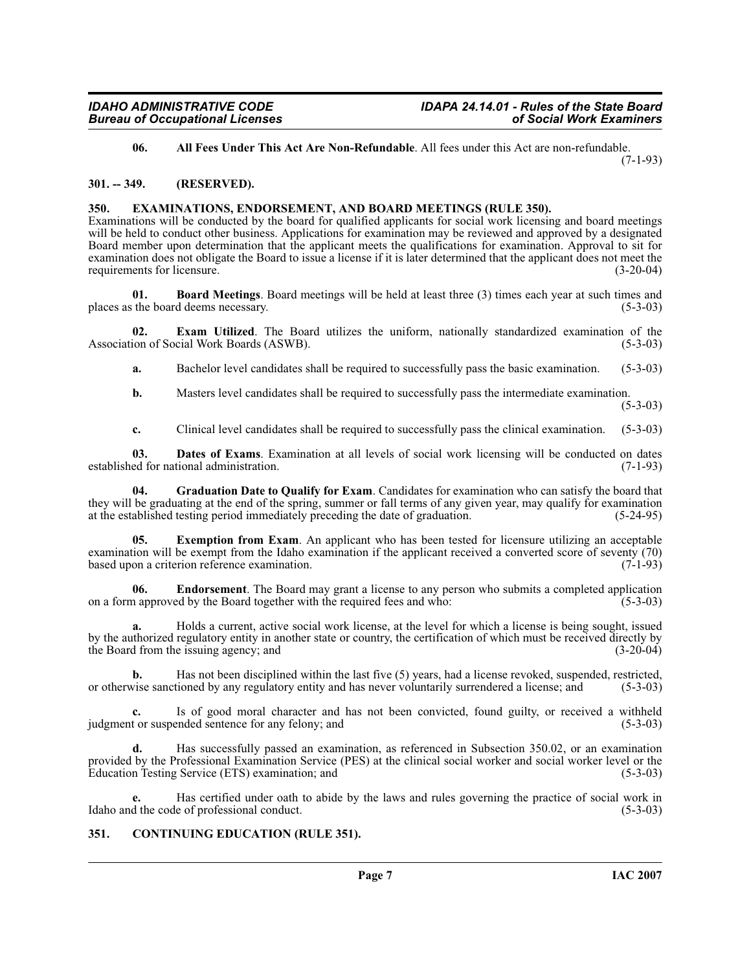<span id="page-6-3"></span>**06. All Fees Under This Act Are Non-Refundable**. All fees under this Act are non-refundable.

(7-1-93)

#### <span id="page-6-0"></span>**301. -- 349. (RESERVED).**

# <span id="page-6-9"></span><span id="page-6-1"></span>**350. EXAMINATIONS, ENDORSEMENT, AND BOARD MEETINGS (RULE 350).**

Examinations will be conducted by the board for qualified applicants for social work licensing and board meetings will be held to conduct other business. Applications for examination may be reviewed and approved by a designated Board member upon determination that the applicant meets the qualifications for examination. Approval to sit for examination does not obligate the Board to issue a license if it is later determined that the applicant does not meet the requirements for licensure. (3-20-04) requirements for licensure.

<span id="page-6-4"></span>**01. Board Meetings**. Board meetings will be held at least three (3) times each year at such times and the board deems necessary. (5-3-03) places as the board deems necessary.

**02. Exam Utilized**. The Board utilizes the uniform, nationally standardized examination of the ion of Social Work Boards (ASWB). (5-3-03) Association of Social Work Boards (ASWB).

<span id="page-6-8"></span>**a.** Bachelor level candidates shall be required to successfully pass the basic examination. (5-3-03)

**b.** Masters level candidates shall be required to successfully pass the intermediate examination.

 $(5-3-03)$ 

<span id="page-6-11"></span><span id="page-6-6"></span>**c.** Clinical level candidates shall be required to successfully pass the clinical examination. (5-3-03)

**03. Dates of Exams**. Examination at all levels of social work licensing will be conducted on dates ed for national administration. (7-1-93) established for national administration.

**04. Graduation Date to Qualify for Exam**. Candidates for examination who can satisfy the board that they will be graduating at the end of the spring, summer or fall terms of any given year, may qualify for examination at the established testing period immediately preceding the date of graduation. (5-24-95) at the established testing period immediately preceding the date of graduation.

<span id="page-6-10"></span>**05. Exemption from Exam**. An applicant who has been tested for licensure utilizing an acceptable examination will be exempt from the Idaho examination if the applicant received a converted score of seventy (70) based upon a criterion reference examination. (7-1-93) based upon a criterion reference examination.

<span id="page-6-7"></span>**Endorsement**. The Board may grant a license to any person who submits a completed application ed by the Board together with the required fees and who: (5-3-03) on a form approved by the Board together with the required fees and who:

**a.** Holds a current, active social work license, at the level for which a license is being sought, issued by the authorized regulatory entity in another state or country, the certification of which must be received directly by the Board from the issuing agency; and (3-20-04) the Board from the issuing agency; and

**b.** Has not been disciplined within the last five (5) years, had a license revoked, suspended, restricted, vise sanctioned by any regulatory entity and has never voluntarily surrendered a license; and (5-3-03) or otherwise sanctioned by any regulatory entity and has never voluntarily surrendered a license; and

**c.** Is of good moral character and has not been convicted, found guilty, or received a withheld judgment or suspended sentence for any felony; and (5-3-03)

**d.** Has successfully passed an examination, as referenced in Subsection 350.02, or an examination provided by the Professional Examination Service (PES) at the clinical social worker and social worker level or the Education Testing Service (ETS) examination; and (5-3-03) (5-3-03)

Has certified under oath to abide by the laws and rules governing the practice of social work in e of professional conduct. (5-3-03) Idaho and the code of professional conduct.

# <span id="page-6-5"></span><span id="page-6-2"></span>**351. CONTINUING EDUCATION (RULE 351).**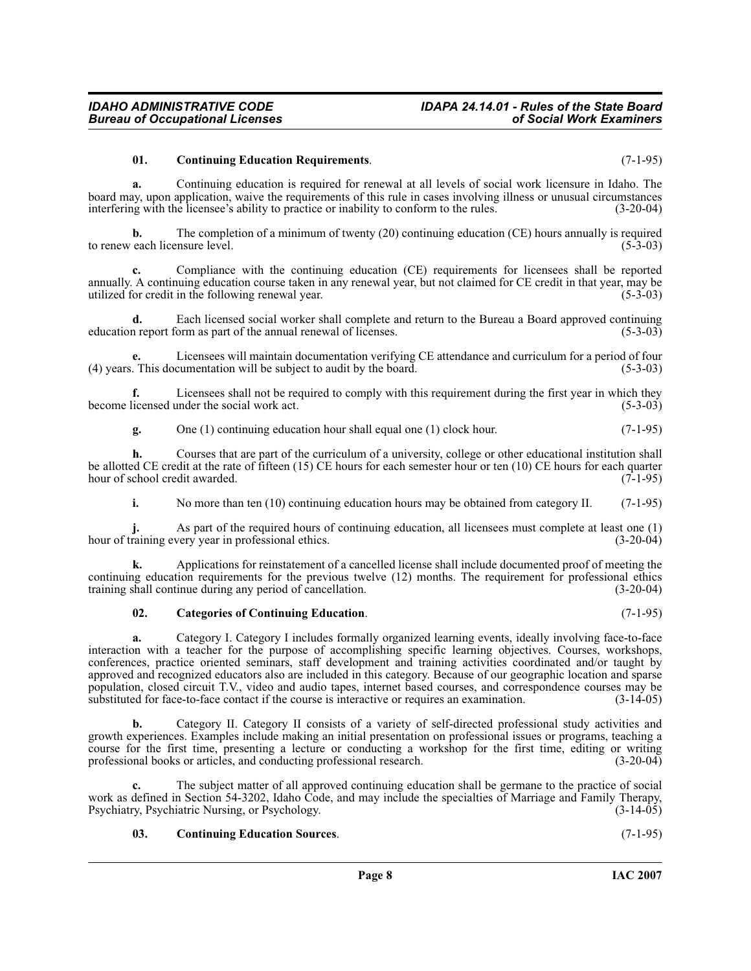#### <span id="page-7-1"></span>**01. Continuing Education Requirements**. (7-1-95)

**a.** Continuing education is required for renewal at all levels of social work licensure in Idaho. The board may, upon application, waive the requirements of this rule in cases involving illness or unusual circumstances interfering with the licensee's ability to practice or inability to conform to the rules. (3-20-04)

**b.** The completion of a minimum of twenty (20) continuing education (CE) hours annually is required each licensure level. (5-3-03) to renew each licensure level.

**c.** Compliance with the continuing education (CE) requirements for licensees shall be reported annually. A continuing education course taken in any renewal year, but not claimed for CE credit in that year, may be utilized for credit in the following renewal year. utilized for credit in the following renewal year. (5-3-03)

**d.** Each licensed social worker shall complete and return to the Bureau a Board approved continuing in report form as part of the annual renewal of licenses. (5-3-03) education report form as part of the annual renewal of licenses.

**e.** Licensees will maintain documentation verifying CE attendance and curriculum for a period of four (4) years. This documentation will be subject to audit by the board. (5-3-03)

**f.** Licensees shall not be required to comply with this requirement during the first year in which they licensed under the social work act. (5-3-03) become licensed under the social work act.

**g.** One (1) continuing education hour shall equal one (1) clock hour. (7-1-95)

**h.** Courses that are part of the curriculum of a university, college or other educational institution shall be allotted CE credit at the rate of fifteen (15) CE hours for each semester hour or ten (10) CE hours for each quarter hour of school credit awarded. (7-1-95) hour of school credit awarded.

**i.** No more than ten (10) continuing education hours may be obtained from category II. (7-1-95)

**j.** As part of the required hours of continuing education, all licensees must complete at least one (1) raining every year in professional ethics. (3-20-04) hour of training every year in professional ethics.

**k.** Applications for reinstatement of a cancelled license shall include documented proof of meeting the continuing education requirements for the previous twelve (12) months. The requirement for professional ethics training shall continue during any period of cancellation. (3-20-04)

#### <span id="page-7-0"></span>**02. Categories of Continuing Education**. (7-1-95)

**a.** Category I. Category I includes formally organized learning events, ideally involving face-to-face interaction with a teacher for the purpose of accomplishing specific learning objectives. Courses, workshops, conferences, practice oriented seminars, staff development and training activities coordinated and/or taught by approved and recognized educators also are included in this category. Because of our geographic location and sparse population, closed circuit T.V., video and audio tapes, internet based courses, and correspondence courses may be substituted for face-to-face contact if the course is interactive or requires an examination. (3-14-05) substituted for face-to-face contact if the course is interactive or requires an examination.

**b.** Category II. Category II consists of a variety of self-directed professional study activities and growth experiences. Examples include making an initial presentation on professional issues or programs, teaching a course for the first time, presenting a lecture or conducting a workshop for the first time, editing or writing professional research. (3-20-04) professional books or articles, and conducting professional research.

**c.** The subject matter of all approved continuing education shall be germane to the practice of social work as defined in Section 54-3202, Idaho Code, and may include the specialties of Marriage and Family Therapy,<br>Psychiatry, Psychiatric Nursing, or Psychology. (3-14-05) Psychiatry, Psychiatric Nursing, or Psychology.

### <span id="page-7-2"></span>**03. Continuing Education Sources**. (7-1-95)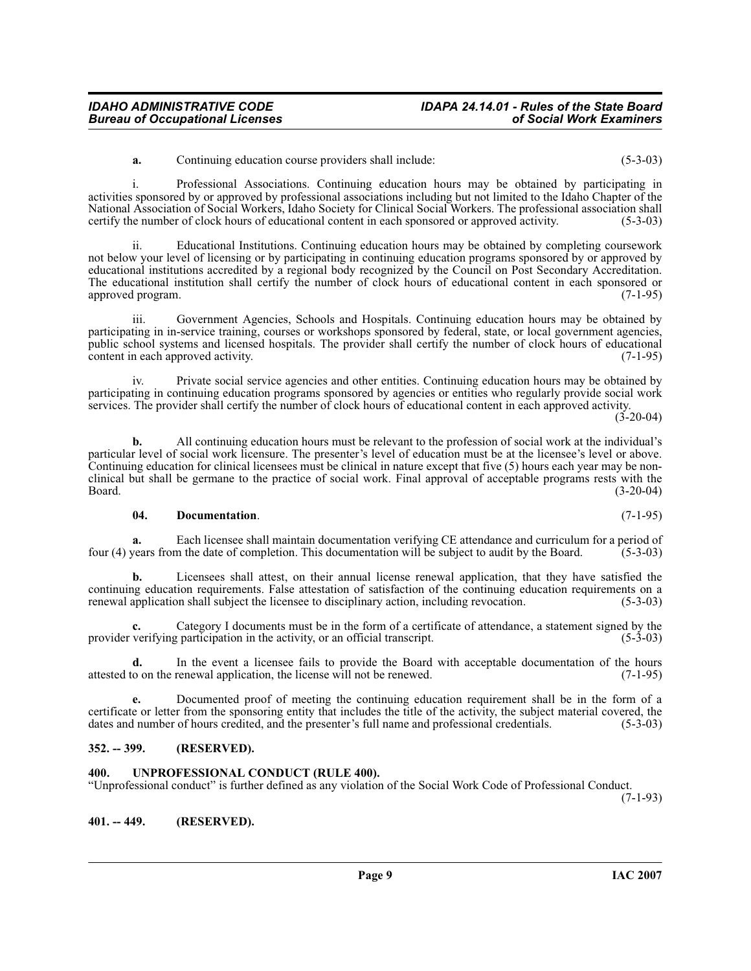# **Page 9 IAC 2007**

# *IDAHO ADMINISTRATIVE CODE IDAPA 24.14.01 - Rules of the State Board* **Bureau of Occupational Licenses**

**a.** Continuing education course providers shall include: (5-3-03)

i. Professional Associations. Continuing education hours may be obtained by participating in activities sponsored by or approved by professional associations including but not limited to the Idaho Chapter of the National Association of Social Workers, Idaho Society for Clinical Social Workers. The professional association shall certify the number of clock hours of educational content in each sponsored or approved activity. (5-3-03 certify the number of clock hours of educational content in each sponsored or approved activity.

ii. Educational Institutions. Continuing education hours may be obtained by completing coursework not below your level of licensing or by participating in continuing education programs sponsored by or approved by educational institutions accredited by a regional body recognized by the Council on Post Secondary Accreditation. The educational institution shall certify the number of clock hours of educational content in each sponsored or approved program. (7-1-95) approved program.

iii. Government Agencies, Schools and Hospitals. Continuing education hours may be obtained by participating in in-service training, courses or workshops sponsored by federal, state, or local government agencies, public school systems and licensed hospitals. The provider shall certify the number of clock hours of educational content in each approved activity. content in each approved activity.

iv. Private social service agencies and other entities. Continuing education hours may be obtained by participating in continuing education programs sponsored by agencies or entities who regularly provide social work services. The provider shall certify the number of clock hours of educational content in each approved activity.  $(3-20-04)$ 

**b.** All continuing education hours must be relevant to the profession of social work at the individual's particular level of social work licensure. The presenter's level of education must be at the licensee's level or above. Continuing education for clinical licensees must be clinical in nature except that five (5) hours each year may be nonclinical but shall be germane to the practice of social work. Final approval of acceptable programs rests with the Board. (3-20-04)

#### <span id="page-8-3"></span>**04. Documentation**. (7-1-95)

**a.** Each licensee shall maintain documentation verifying CE attendance and curriculum for a period of four (4) years from the date of completion. This documentation will be subject to audit by the Board. (5-3-03)

**b.** Licensees shall attest, on their annual license renewal application, that they have satisfied the continuing education requirements. False attestation of satisfaction of the continuing education requirements on a renewal application shall subject the licensee to disciplinary action, including revocation. (5-3-03) renewal application shall subject the licensee to disciplinary action, including revocation.

**c.** Category I documents must be in the form of a certificate of attendance, a statement signed by the verifying participation in the activity, or an official transcript. (5-3-03) provider verifying participation in the activity, or an official transcript.

**d.** In the event a licensee fails to provide the Board with acceptable documentation of the hours o on the renewal application, the license will not be renewed. (7-1-95) attested to on the renewal application, the license will not be renewed.

**e.** Documented proof of meeting the continuing education requirement shall be in the form of a certificate or letter from the sponsoring entity that includes the title of the activity, the subject material covered, the dates and number of hours credited, and the presenter's full name and professional credentials. (5-3-03)

# <span id="page-8-0"></span>**352. -- 399. (RESERVED).**

<span id="page-8-2"></span>**401. -- 449. (RESERVED).**

#### <span id="page-8-4"></span><span id="page-8-1"></span>**400. UNPROFESSIONAL CONDUCT (RULE 400).**

"Unprofessional conduct" is further defined as any violation of the Social Work Code of Professional Conduct.

(7-1-93)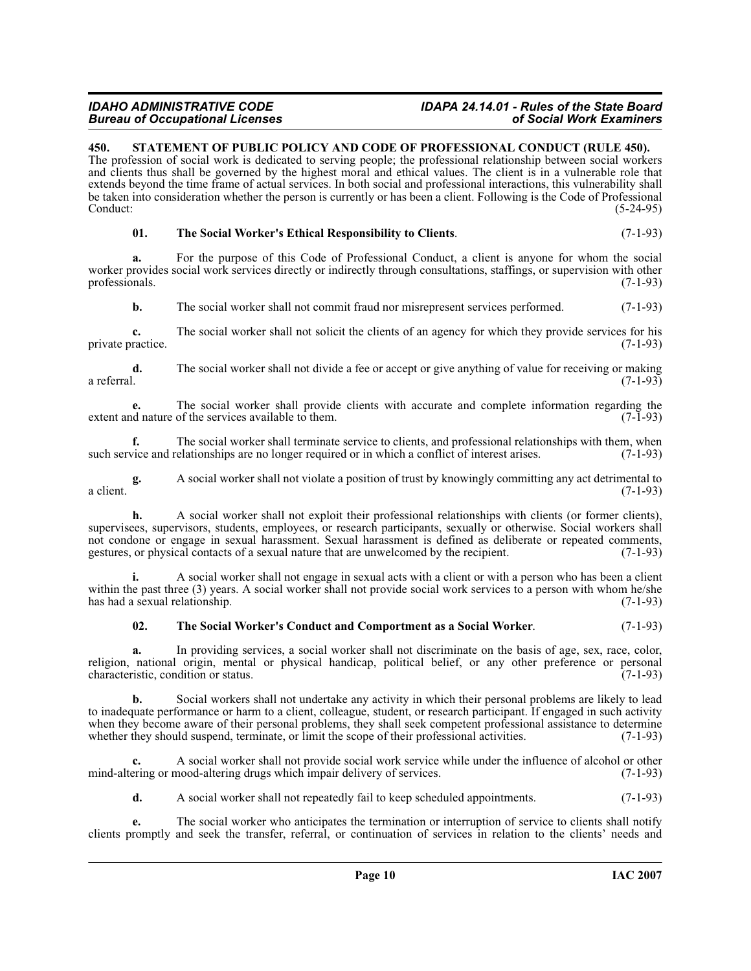# **Bureau of Occupational Licenses**

# *IDAHO ADMINISTRATIVE CODE IDAPA 24.14.01 - Rules of the State Board*

# <span id="page-9-1"></span><span id="page-9-0"></span>**450. STATEMENT OF PUBLIC POLICY AND CODE OF PROFESSIONAL CONDUCT (RULE 450).**

The profession of social work is dedicated to serving people; the professional relationship between social workers and clients thus shall be governed by the highest moral and ethical values. The client is in a vulnerable role that extends beyond the time frame of actual services. In both social and professional interactions, this vulnerability shall be taken into consideration whether the person is currently or has been a client. Following is the Code of Professional Conduct: (5-24-95)

#### <span id="page-9-3"></span>**01. The Social Worker's Ethical Responsibility to Clients**. (7-1-93)

**a.** For the purpose of this Code of Professional Conduct, a client is anyone for whom the social worker provides social work services directly or indirectly through consultations, staffings, or supervision with other professionals. (7-1-93) professionals.

**b.** The social worker shall not commit fraud nor misrepresent services performed.  $(7-1-93)$ 

**c.** The social worker shall not solicit the clients of an agency for which they provide services for his ractice. (7-1-93) private practice.

**d.** The social worker shall not divide a fee or accept or give anything of value for receiving or making a referral. a referral. (7-1-93)

**e.** The social worker shall provide clients with accurate and complete information regarding the desired nature of the services available to them. (7-1-93) extent and nature of the services available to them.

**f.** The social worker shall terminate service to clients, and professional relationships with them, when vice and relationships are no longer required or in which a conflict of interest arises. (7-1-93) such service and relationships are no longer required or in which a conflict of interest arises.

**g.** A social worker shall not violate a position of trust by knowingly committing any act detrimental to  $(7-1-93)$ a client.  $(7-1-93)$ 

**h.** A social worker shall not exploit their professional relationships with clients (or former clients), supervisees, supervisors, students, employees, or research participants, sexually or otherwise. Social workers shall not condone or engage in sexual harassment. Sexual harassment is defined as deliberate or repeated comments, gestures, or physical contacts of a sexual nature that are unwelcomed by the recipient. (7-1-93)

**i.** A social worker shall not engage in sexual acts with a client or with a person who has been a client within the past three (3) years. A social worker shall not provide social work services to a person with whom he/she has had a sexual relationship. (7-1-93) has had a sexual relationship.

# <span id="page-9-2"></span>**02. The Social Worker's Conduct and Comportment as a Social Worker**. (7-1-93)

**a.** In providing services, a social worker shall not discriminate on the basis of age, sex, race, color, religion, national origin, mental or physical handicap, political belief, or any other preference or personal characteristic condition or status. (7-1-93) characteristic, condition or status.

**b.** Social workers shall not undertake any activity in which their personal problems are likely to lead to inadequate performance or harm to a client, colleague, student, or research participant. If engaged in such activity when they become aware of their personal problems, they shall seek competent professional assistance to determine whether they should suspend, terminate, or limit the scope of their professional activities. (7-1-93)

**c.** A social worker shall not provide social work service while under the influence of alcohol or other mind-altering or mood-altering drugs which impair delivery of services. (7-1-93)

**d.** A social worker shall not repeatedly fail to keep scheduled appointments. (7-1-93)

**e.** The social worker who anticipates the termination or interruption of service to clients shall notify clients promptly and seek the transfer, referral, or continuation of services in relation to the clients' needs and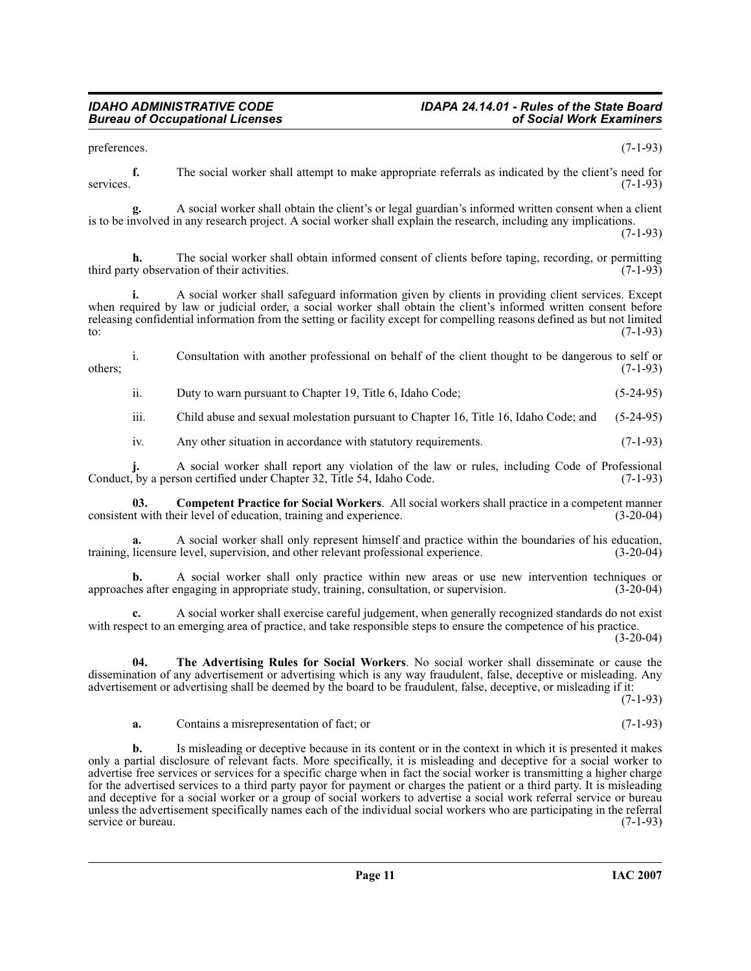preferences. (7-1-93)

**f.** The social worker shall attempt to make appropriate referrals as indicated by the client's need for services. (7-1-93)

**g.** A social worker shall obtain the client's or legal guardian's informed written consent when a client is to be involved in any research project. A social worker shall explain the research, including any implications.  $(7-1-93)$ 

The social worker shall obtain informed consent of clients before taping, recording, or permitting ation of their activities. (7-1-93) third party observation of their activities.

**i.** A social worker shall safeguard information given by clients in providing client services. Except when required by law or judicial order, a social worker shall obtain the client's informed written consent before releasing confidential information from the setting or facility except for compelling reasons defined as but not limited to:  $(7-1-93)$ 

i. Consultation with another professional on behalf of the client thought to be dangerous to self or  $(7-1-93)$ 

ii. Duty to warn pursuant to Chapter 19, Title 6, Idaho Code; (5-24-95)

iii. Child abuse and sexual molestation pursuant to Chapter 16, Title 16, Idaho Code; and (5-24-95)

iv. Any other situation in accordance with statutory requirements. (7-1-93)

**j.** A social worker shall report any violation of the law or rules, including Code of Professional Conduct, by a person certified under Chapter 32, Title 54, Idaho Code.

**03.** Competent Practice for Social Workers. All social workers shall practice in a competent manner it with their level of education, training and experience. (3-20-04) consistent with their level of education, training and experience.

**a.** A social worker shall only represent himself and practice within the boundaries of his education, training, licensure level, supervision, and other relevant professional experience. (3-20-04)

**b.** A social worker shall only practice within new areas or use new intervention techniques or use after engaging in appropriate study, training, consultation, or supervision. (3-20-04) approaches after engaging in appropriate study, training, consultation, or supervision.

**c.** A social worker shall exercise careful judgement, when generally recognized standards do not exist with respect to an emerging area of practice, and take responsible steps to ensure the competence of his practice.  $(3-20-04)$ 

**04. The Advertising Rules for Social Workers**. No social worker shall disseminate or cause the dissemination of any advertisement or advertising which is any way fraudulent, false, deceptive or misleading. Any advertisement or advertising shall be deemed by the board to be fraudulent, false, deceptive, or misleading if it:

(7-1-93)

<span id="page-10-0"></span>**a.** Contains a misrepresentation of fact; or (7-1-93)

**b.** Is misleading or deceptive because in its content or in the context in which it is presented it makes only a partial disclosure of relevant facts. More specifically, it is misleading and deceptive for a social worker to advertise free services or services for a specific charge when in fact the social worker is transmitting a higher charge for the advertised services to a third party payor for payment or charges the patient or a third party. It is misleading and deceptive for a social worker or a group of social workers to advertise a social work referral service or bureau unless the advertisement specifically names each of the individual social workers who are participating in the referral service or bureau. (7-1-93) service or bureau.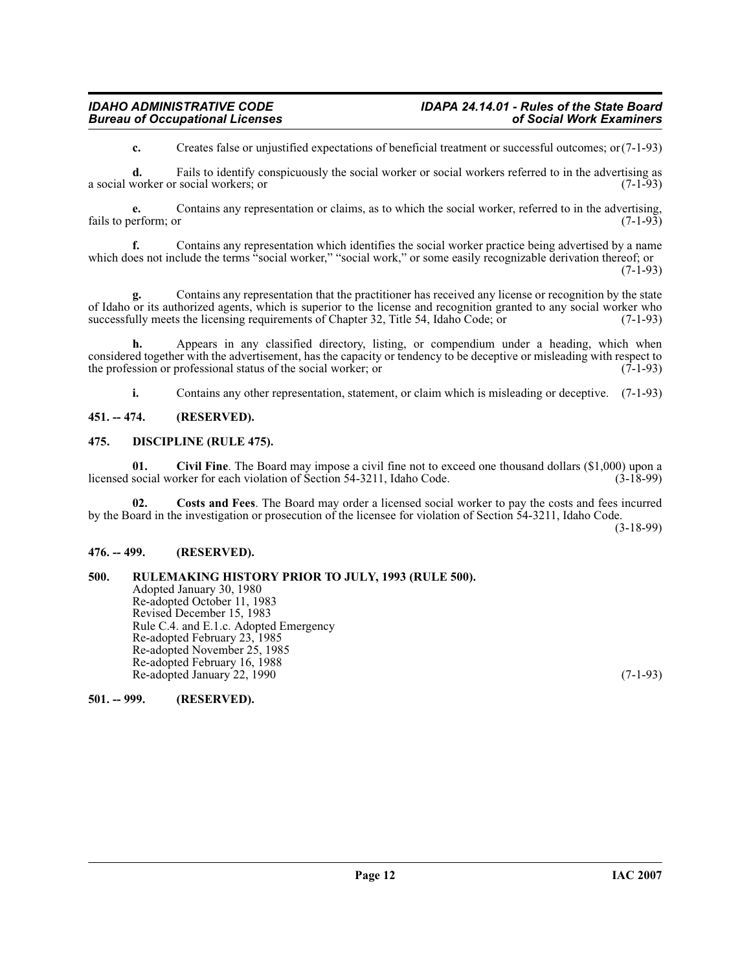# *IDAHO ADMINISTRATIVE CODE IDAPA 24.14.01 - Rules of the State Board Bureau of Occupational Licenses*

**c.** Creates false or unjustified expectations of beneficial treatment or successful outcomes; or(7-1-93)

**d.** Fails to identify conspicuously the social worker or social workers referred to in the advertising as a social worker or social workers; or (7-1-93)

**e.** Contains any representation or claims, as to which the social worker, referred to in the advertising, erform: or  $(7-1-93)$ fails to perform; or

**f.** Contains any representation which identifies the social worker practice being advertised by a name which does not include the terms "social worker," "social work," or some easily recognizable derivation thereof; or  $(7-1-93)$ 

**g.** Contains any representation that the practitioner has received any license or recognition by the state of Idaho or its authorized agents, which is superior to the license and recognition granted to any social worker who successfully meets the licensing requirements of Chapter 32, Title 54, Idaho Code; or (7-1-93)

**h.** Appears in any classified directory, listing, or compendium under a heading, which when considered together with the advertisement, has the capacity or tendency to be deceptive or misleading with respect to the profession or professional status of the social worker; or  $(7-1-93)$ 

<span id="page-11-7"></span><span id="page-11-5"></span>**i.** Contains any other representation, statement, or claim which is misleading or deceptive. (7-1-93)

#### <span id="page-11-0"></span>**451. -- 474. (RESERVED).**

#### <span id="page-11-1"></span>**475. DISCIPLINE (RULE 475).**

**01.** Civil Fine. The Board may impose a civil fine not to exceed one thousand dollars (\$1,000) upon a social worker for each violation of Section 54-3211, Idaho Code. (3-18-99) licensed social worker for each violation of Section 54-3211, Idaho Code.

<span id="page-11-6"></span>**02. Costs and Fees**. The Board may order a licensed social worker to pay the costs and fees incurred by the Board in the investigation or prosecution of the licensee for violation of Section 54-3211, Idaho Code.

(3-18-99)

# <span id="page-11-2"></span>**476. -- 499. (RESERVED).**

# <span id="page-11-3"></span>**500. RULEMAKING HISTORY PRIOR TO JULY, 1993 (RULE 500).**

Adopted January 30, 1980 Re-adopted October 11, 1983 Revised December 15, 1983 Rule C.4. and E.1.c. Adopted Emergency Re-adopted February 23, 1985 Re-adopted November 25, 1985 Re-adopted February 16, 1988 Re-adopted January 22, 1990 (7-1-93)

<span id="page-11-4"></span>**501. -- 999. (RESERVED).**